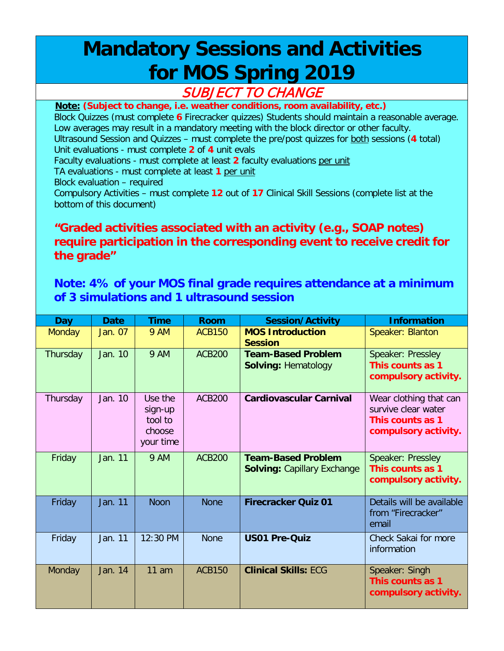## **Mandatory Sessions and Activities for MOS Spring 2019**

## SUBJECT TO CHANGE

**Note: (Subject to change, i.e. weather conditions, room availability, etc.)**

Block Quizzes (must complete **6** Firecracker quizzes) Students should maintain a reasonable average. Low averages may result in a mandatory meeting with the block director or other faculty. Ultrasound Session and Quizzes – must complete the pre/post quizzes for both sessions (**4** total)

Unit evaluations - must complete **2** of **4** unit evals

Faculty evaluations - must complete at least **2** faculty evaluations per unit

TA evaluations - must complete at least **1** per unit

Block evaluation – required

Compulsory Activities – must complete **12** out of **17** Clinical Skill Sessions (complete list at the bottom of this document)

## **"Graded activities associated with an activity (e.g., SOAP notes) require participation in the corresponding event to receive credit for the grade"**

## **Note: 4% of your MOS final grade requires attendance at a minimum of 3 simulations and 1 ultrasound session**

| <b>Day</b>    | <b>Date</b> | <b>Time</b>                                          | <b>Room</b>   | <b>Session/Activity</b>                                         | <b>Information</b>                                                                        |
|---------------|-------------|------------------------------------------------------|---------------|-----------------------------------------------------------------|-------------------------------------------------------------------------------------------|
| <b>Monday</b> | Jan. 07     | <b>9 AM</b>                                          | <b>ACB150</b> | <b>MOS Introduction</b><br><b>Session</b>                       | Speaker: Blanton                                                                          |
| Thursday      | Jan. 10     | <b>9 AM</b>                                          | <b>ACB200</b> | <b>Team-Based Problem</b><br><b>Solving: Hematology</b>         | Speaker: Pressley<br>This counts as 1<br>compulsory activity.                             |
| Thursday      | Jan. 10     | Use the<br>sign-up<br>tool to<br>choose<br>your time | <b>ACB200</b> | <b>Cardiovascular Carnival</b>                                  | Wear clothing that can<br>survive clear water<br>This counts as 1<br>compulsory activity. |
| Friday        | Jan. 11     | <b>9 AM</b>                                          | <b>ACB200</b> | <b>Team-Based Problem</b><br><b>Solving: Capillary Exchange</b> | Speaker: Pressley<br>This counts as 1<br>compulsory activity.                             |
| Friday        | Jan. 11     | <b>Noon</b>                                          | <b>None</b>   | <b>Firecracker Quiz 01</b>                                      | Details will be available<br>from "Firecracker"<br>email                                  |
| Friday        | Jan. 11     | 12:30 PM                                             | <b>None</b>   | <b>US01 Pre-Quiz</b>                                            | Check Sakai for more<br>information                                                       |
| Monday        | Jan. 14     | $11$ am                                              | <b>ACB150</b> | <b>Clinical Skills: ECG</b>                                     | Speaker: Singh<br>This counts as 1<br>compulsory activity.                                |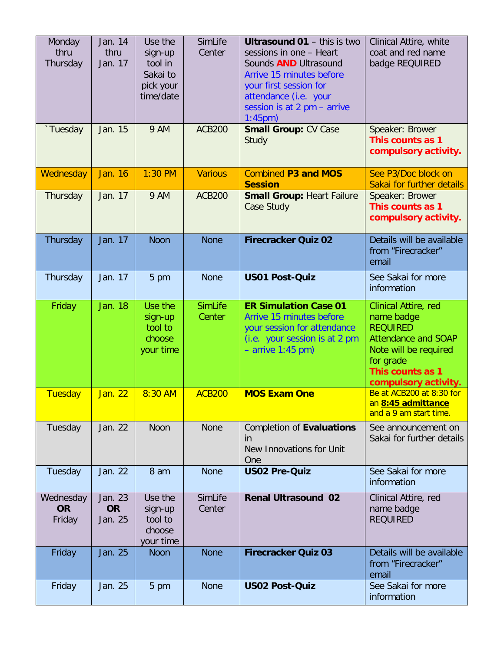| Monday<br>thru<br>Thursday       | Jan. 14<br>thru<br>Jan. 17      | Use the<br>sign-up<br>tool in<br>Sakai to<br>pick your<br>time/date | SimLife<br>Center        | <b>Ultrasound 01 - this is two</b><br>sessions in one - Heart<br>Sounds <b>AND</b> Ultrasound<br>Arrive 15 minutes before<br>your first session for<br>attendance (i.e. your<br>session is at 2 pm - arrive<br>$1:45$ pm $)$ | Clinical Attire, white<br>coat and red name<br>badge REQUIRED                                                                                                         |
|----------------------------------|---------------------------------|---------------------------------------------------------------------|--------------------------|------------------------------------------------------------------------------------------------------------------------------------------------------------------------------------------------------------------------------|-----------------------------------------------------------------------------------------------------------------------------------------------------------------------|
| `Tuesday                         | Jan. 15                         | 9 AM                                                                | <b>ACB200</b>            | <b>Small Group: CV Case</b><br>Study                                                                                                                                                                                         | Speaker: Brower<br>This counts as 1<br>compulsory activity.                                                                                                           |
| Wednesday                        | <b>Jan. 16</b>                  | $1:30$ PM                                                           | <b>Various</b>           | <b>Combined P3 and MOS</b><br><b>Session</b>                                                                                                                                                                                 | See P3/Doc block on<br>Sakai for further details                                                                                                                      |
| Thursday                         | Jan. 17                         | 9 AM                                                                | <b>ACB200</b>            | <b>Small Group: Heart Failure</b><br><b>Case Study</b>                                                                                                                                                                       | Speaker: Brower<br>This counts as 1<br>compulsory activity.                                                                                                           |
| Thursday                         | Jan. 17                         | <b>Noon</b>                                                         | <b>None</b>              | <b>Firecracker Quiz 02</b>                                                                                                                                                                                                   | Details will be available<br>from "Firecracker"<br>email                                                                                                              |
| Thursday                         | Jan. 17                         | 5 pm                                                                | <b>None</b>              | <b>US01 Post-Quiz</b>                                                                                                                                                                                                        | See Sakai for more<br>information                                                                                                                                     |
| Friday                           | Jan. 18                         | Use the<br>sign-up<br>tool to<br>choose<br>your time                | <b>SimLife</b><br>Center | <b>ER Simulation Case 01</b><br>Arrive 15 minutes before<br>your session for attendance<br>(i.e. your session is at 2 pm<br>$-$ arrive 1:45 pm)                                                                              | Clinical Attire, red<br>name badge<br><b>REQUIRED</b><br><b>Attendance and SOAP</b><br>Note will be required<br>for grade<br>This counts as 1<br>compulsory activity. |
| Tuesday                          | Jan. 22                         | 8:30 AM                                                             | <b>ACB200</b>            | <b>MOS Exam One</b>                                                                                                                                                                                                          | Be at ACB200 at 8:30 for<br>an 8:45 admittance<br>and a 9 am start time.                                                                                              |
| Tuesday                          | Jan. 22                         | Noon                                                                | <b>None</b>              | Completion of Evaluations<br>in<br>New Innovations for Unit<br>One                                                                                                                                                           | See announcement on<br>Sakai for further details                                                                                                                      |
| Tuesday                          | Jan. 22                         | 8 am                                                                | <b>None</b>              | <b>US02 Pre-Quiz</b>                                                                                                                                                                                                         | See Sakai for more<br>information                                                                                                                                     |
| Wednesday<br><b>OR</b><br>Friday | Jan. 23<br><b>OR</b><br>Jan. 25 | Use the<br>sign-up<br>tool to<br>choose<br>your time                | SimLife<br>Center        | <b>Renal Ultrasound 02</b>                                                                                                                                                                                                   | Clinical Attire, red<br>name badge<br><b>REQUIRED</b>                                                                                                                 |
| Friday                           | Jan. 25                         | <b>Noon</b>                                                         | <b>None</b>              | <b>Firecracker Quiz 03</b>                                                                                                                                                                                                   | Details will be available<br>from "Firecracker"<br>email                                                                                                              |
| Friday                           | Jan. 25                         | 5 pm                                                                | <b>None</b>              | <b>US02 Post-Quiz</b>                                                                                                                                                                                                        | See Sakai for more<br>information                                                                                                                                     |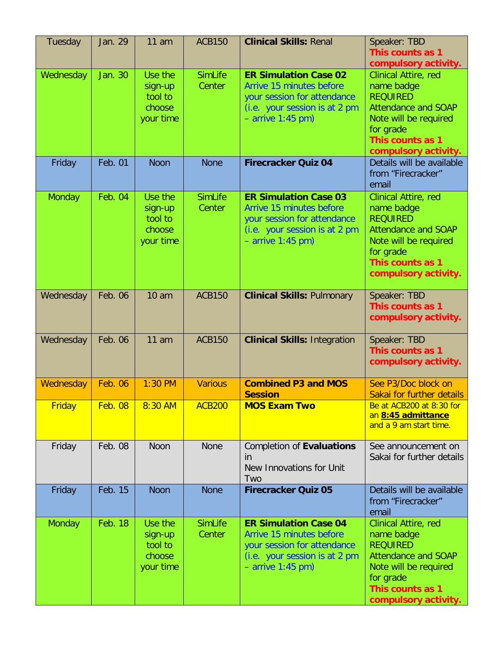| Tuesday       | Jan. 29        | $11$ am                                              | <b>ACB150</b>            | <b>Clinical Skills: Renal</b>                                                                                                                   | Speaker: TBD<br>This counts as 1<br>compulsory activity.                                                                                                                     |
|---------------|----------------|------------------------------------------------------|--------------------------|-------------------------------------------------------------------------------------------------------------------------------------------------|------------------------------------------------------------------------------------------------------------------------------------------------------------------------------|
| Wednesday     | Jan. 30        | Use the<br>sign-up<br>tool to<br>choose<br>your time | <b>SimLife</b><br>Center | <b>ER Simulation Case 02</b><br>Arrive 15 minutes before<br>your session for attendance<br>(i.e. your session is at 2 pm<br>$-$ arrive 1:45 pm) | Clinical Attire, red<br>name badge<br><b>REQUIRED</b><br><b>Attendance and SOAP</b><br>Note will be required<br>for grade<br>This counts as 1<br>compulsory activity.        |
| Friday        | <b>Feb. 01</b> | <b>Noon</b>                                          | <b>None</b>              | <b>Firecracker Quiz 04</b>                                                                                                                      | Details will be available<br>from "Firecracker"<br>email                                                                                                                     |
| Monday        | Feb. 04        | Use the<br>sign-up<br>tool to<br>choose<br>your time | <b>SimLife</b><br>Center | <b>ER Simulation Case 03</b><br>Arrive 15 minutes before<br>your session for attendance<br>(i.e. your session is at 2 pm<br>$-$ arrive 1:45 pm) | <b>Clinical Attire, red</b><br>name badge<br><b>REQUIRED</b><br><b>Attendance and SOAP</b><br>Note will be required<br>for grade<br>This counts as 1<br>compulsory activity. |
| Wednesday     | Feb. 06        | 10 <sub>am</sub>                                     | <b>ACB150</b>            | <b>Clinical Skills: Pulmonary</b>                                                                                                               | Speaker: TBD<br>This counts as 1<br>compulsory activity.                                                                                                                     |
| Wednesday     | Feb. 06        | 11 am                                                | <b>ACB150</b>            | <b>Clinical Skills: Integration</b>                                                                                                             | Speaker: TBD<br>This counts as 1<br>compulsory activity.                                                                                                                     |
| Wednesday     | <b>Feb. 06</b> | $1:30$ PM                                            | <b>Various</b>           | <b>Combined P3 and MOS</b><br><b>Session</b>                                                                                                    | See P3/Doc block on<br>Sakai for further details                                                                                                                             |
| <b>Friday</b> | Feb.08         | 8:30 AM                                              | <b>ACB200</b>            | <b>MOS Exam Two</b>                                                                                                                             | <b>Be at ACB200 at 8:30 for</b><br>an 8:45 admittance<br>and a 9 am start time.                                                                                              |
| Friday        | Feb. 08        | Noon                                                 | <b>None</b>              | Completion of Evaluations<br>in<br>New Innovations for Unit<br>Two                                                                              | See announcement on<br>Sakai for further details                                                                                                                             |
| Friday        | Feb. 15        | Noon                                                 | <b>None</b>              | <b>Firecracker Quiz 05</b>                                                                                                                      | Details will be available<br>from "Firecracker"<br>email                                                                                                                     |
| Monday        | Feb. 18        | Use the<br>sign-up<br>tool to<br>choose<br>your time | <b>SimLife</b><br>Center | <b>ER Simulation Case 04</b><br>Arrive 15 minutes before<br>your session for attendance<br>(i.e. your session is at 2 pm<br>$-$ arrive 1:45 pm) | Clinical Attire, red<br>name badge<br><b>REQUIRED</b><br><b>Attendance and SOAP</b><br>Note will be required<br>for grade<br>This counts as 1<br>compulsory activity.        |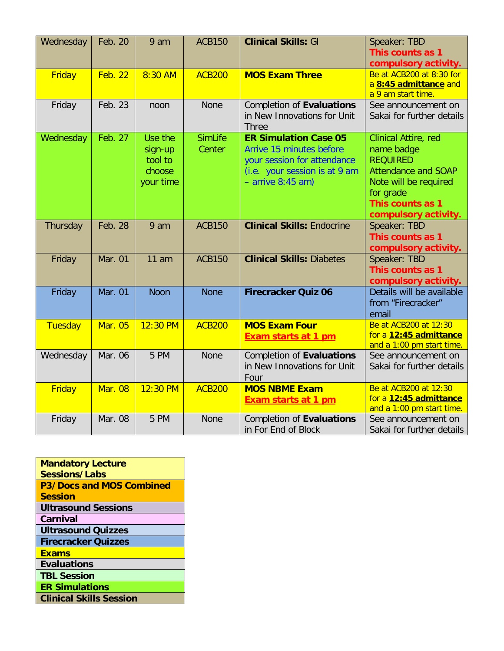| Wednesday | Feb. 20        | 9 am                                                 | <b>ACB150</b>            | <b>Clinical Skills: GI</b>                                                                                                                      | Speaker: TBD<br>This counts as 1<br>compulsory activity.                                                                                                              |
|-----------|----------------|------------------------------------------------------|--------------------------|-------------------------------------------------------------------------------------------------------------------------------------------------|-----------------------------------------------------------------------------------------------------------------------------------------------------------------------|
| Friday    | <b>Feb. 22</b> | 8:30 AM                                              | <b>ACB200</b>            | <b>MOS Exam Three</b>                                                                                                                           | Be at ACB200 at 8:30 for<br>a 8:45 admittance and<br>a 9 am start time.                                                                                               |
| Friday    | Feb. 23        | noon                                                 | None                     | Completion of Evaluations<br>in New Innovations for Unit<br><b>Three</b>                                                                        | See announcement on<br>Sakai for further details                                                                                                                      |
| Wednesday | Feb. 27        | Use the<br>sign-up<br>tool to<br>choose<br>your time | <b>SimLife</b><br>Center | <b>ER Simulation Case 05</b><br>Arrive 15 minutes before<br>your session for attendance<br>(i.e. your session is at 9 am<br>$-$ arrive 8:45 am) | Clinical Attire, red<br>name badge<br><b>REQUIRED</b><br><b>Attendance and SOAP</b><br>Note will be required<br>for grade<br>This counts as 1<br>compulsory activity. |
| Thursday  | Feb. 28        | 9 am                                                 | <b>ACB150</b>            | <b>Clinical Skills: Endocrine</b>                                                                                                               | Speaker: TBD<br>This counts as 1<br>compulsory activity.                                                                                                              |
| Friday    | Mar. 01        | 11 am                                                | <b>ACB150</b>            | <b>Clinical Skills: Diabetes</b>                                                                                                                | Speaker: TBD<br>This counts as 1<br>compulsory activity.                                                                                                              |
| Friday    | Mar. 01        | <b>Noon</b>                                          | <b>None</b>              | <b>Firecracker Quiz 06</b>                                                                                                                      | Details will be available<br>from "Firecracker"<br>email                                                                                                              |
| Tuesday   | <b>Mar. 05</b> | 12:30 PM                                             | <b>ACB200</b>            | <b>MOS Exam Four</b><br><b>Exam starts at 1 pm</b>                                                                                              | Be at ACB200 at 12:30<br>for a 12:45 admittance<br>and a 1:00 pm start time.                                                                                          |
| Wednesday | Mar. 06        | 5 PM                                                 | <b>None</b>              | <b>Completion of Evaluations</b><br>in New Innovations for Unit<br>Four                                                                         | See announcement on<br>Sakai for further details                                                                                                                      |
| Friday    | <b>Mar. 08</b> | 12:30 PM                                             | <b>ACB200</b>            | <b>MOS NBME Exam</b><br><b>Exam starts at 1 pm</b>                                                                                              | Be at ACB200 at 12:30<br>for a 12:45 admittance<br>and a 1:00 pm start time.                                                                                          |
| Friday    | Mar. 08        | 5 PM                                                 | <b>None</b>              | <b>Completion of Evaluations</b><br>in For End of Block                                                                                         | See announcement on<br>Sakai for further details                                                                                                                      |

| <b>Mandatory Lecture</b>       |
|--------------------------------|
| Sessions/Labs                  |
| P3/Docs and MOS Combined       |
| <b>Session</b>                 |
| <b>Ultrasound Sessions</b>     |
| Carnival                       |
| <b>Ultrasound Quizzes</b>      |
| <b>Firecracker Quizzes</b>     |
| <b>Exams</b>                   |
| <b>Evaluations</b>             |
| <b>TBL Session</b>             |
| <b>ER Simulations</b>          |
| <b>Clinical Skills Session</b> |